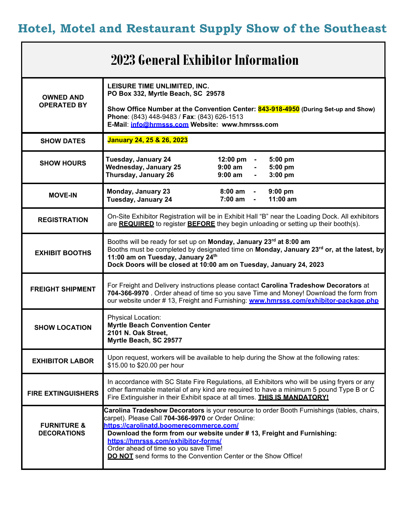**Hotel, Motel and Restaurant Supply Show of the Southeast**

## **2023 General Exhibitor Information**

| <b>OWNED AND</b><br><b>OPERATED BY</b>       | LEISURE TIME UNLIMITED, INC.<br>PO Box 332, Myrtle Beach, SC 29578<br>Show Office Number at the Convention Center: 843-918-4950 (During Set-up and Show)<br>Phone: (843) 448-9483 / Fax: (843) 626-1513<br>E-Mail: info@hrmsss.com Website: www.hmrsss.com                                                                                                                                                             |
|----------------------------------------------|------------------------------------------------------------------------------------------------------------------------------------------------------------------------------------------------------------------------------------------------------------------------------------------------------------------------------------------------------------------------------------------------------------------------|
| <b>SHOW DATES</b>                            | January 24, 25 & 26, 2023                                                                                                                                                                                                                                                                                                                                                                                              |
| <b>SHOW HOURS</b>                            | Tuesday, January 24<br>12:00 pm -<br>5:00 pm<br><b>Wednesday, January 25</b><br>$9:00$ am<br>5:00 pm<br>Thursday, January 26<br>$9:00$ am<br>$3:00$ pm<br>$\blacksquare$                                                                                                                                                                                                                                               |
| <b>MOVE-IN</b>                               | <b>Monday, January 23</b><br>$8:00 \text{ am}$<br>$9:00$ pm<br>$\blacksquare$<br>Tuesday, January 24<br>7:00 am<br>11:00 am                                                                                                                                                                                                                                                                                            |
| <b>REGISTRATION</b>                          | On-Site Exhibitor Registration will be in Exhibit Hall "B" near the Loading Dock. All exhibitors<br>are REQUIRED to register BEFORE they begin unloading or setting up their booth(s).                                                                                                                                                                                                                                 |
| <b>EXHIBIT BOOTHS</b>                        | Booths will be ready for set up on Monday, January 23rd at 8:00 am<br>Booths must be completed by designated time on Monday, January 23rd or, at the latest, by<br>11:00 am on Tuesday, January 24th<br>Dock Doors will be closed at 10:00 am on Tuesday, January 24, 2023                                                                                                                                             |
| <b>FREIGHT SHIPMENT</b>                      | For Freight and Delivery instructions please contact Carolina Tradeshow Decorators at<br>704-366-9970 . Order ahead of time so you save Time and Money! Download the form from<br>our website under # 13, Freight and Furnishing: www.hmrsss.com/exhibitor-package.php                                                                                                                                                 |
| <b>SHOW LOCATION</b>                         | Physical Location:<br><b>Myrtle Beach Convention Center</b><br>2101 N. Oak Street,<br>Myrtle Beach, SC 29577                                                                                                                                                                                                                                                                                                           |
| <b>EXHIBITOR LABOR</b>                       | Upon request, workers will be available to help during the Show at the following rates:<br>\$15.00 to \$20.00 per hour                                                                                                                                                                                                                                                                                                 |
| <b>FIRE EXTINGUISHERS</b>                    | In accordance with SC State Fire Regulations, all Exhibitors who will be using fryers or any<br>other flammable material of any kind are required to have a minimum 5 pound Type B or C<br>Fire Extinguisher in their Exhibit space at all times. <b>THIS IS MANDATORY!</b>                                                                                                                                            |
| <b>FURNITURE &amp;</b><br><b>DECORATIONS</b> | Carolina Tradeshow Decorators is your resource to order Booth Furnishings (tables, chairs,<br>carpet). Please Call 704-366-9970 or Order Online:<br>https://carolinatd.boomerecommerce.com/<br>Download the form from our website under #13, Freight and Furnishing:<br>https://hmrsss.com/exhibitor-forms/<br>Order ahead of time so you save Time!<br>DO NOT send forms to the Convention Center or the Show Office! |